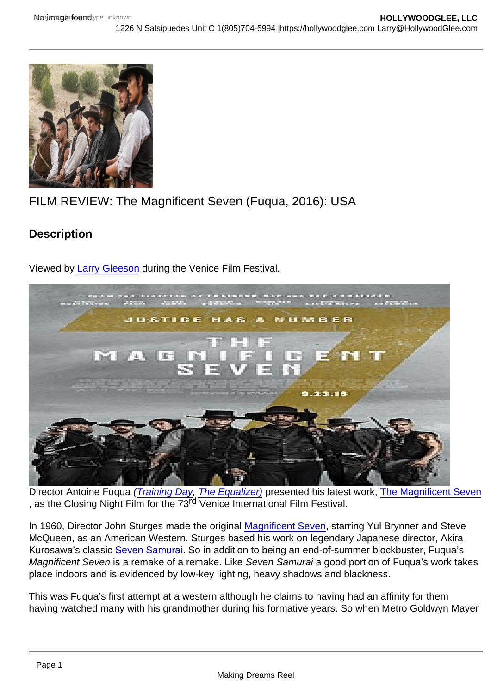## FILM REVIEW: The Magnificent Seven (Fuqua, 2016): USA

**Description** 

Viewed by [Larry Gleeson](http://sbccfilmreviews.org/?s=larry+gleeson) during the Venice Film Festival.

Director Antoine Fuqua ([Training Day,](http://www.imdb.com/title/tt0139654/?ref_=nv_sr_1) [The Equalizer\)](http://www.imdb.com/title/tt0455944/?ref_=fn_al_tt_1) presented his latest work, [The Magnificent Seven](http://www.imdb.com/title/tt2404435/?ref_=nv_sr_1) , as the Closing Night Film for the 73rd Venice International Film Festival.

In 1960, Director John Sturges made the original [Magnificent Seven](http://www.imdb.com/title/tt0054047/?ref_=nv_sr_2), starring Yul Brynner and Steve McQueen, as an American Western. Sturges based his work on legendary Japanese director, Akira Kurosawa's classic [Seven Samurai.](http://www.imdb.com/title/tt0047478/?ref_=nv_sr_1) So in addition to being an end-of-summer blockbuster, Fuqua's Magnificent Seven is a remake of a remake. Like Seven Samurai a good portion of Fuqua's work takes place indoors and is evidenced by low-key lighting, heavy shadows and blackness.

This was Fuqua's first attempt at a western although he claims to having had an affinity for them having watched many with his grandmother during his formative years. So when Metro Goldwyn Mayer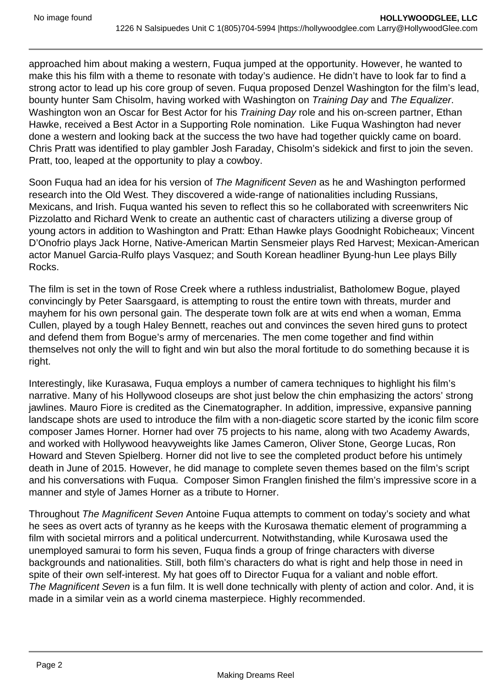approached him about making a western, Fuqua jumped at the opportunity. However, he wanted to make this his film with a theme to resonate with today's audience. He didn't have to look far to find a strong actor to lead up his core group of seven. Fuqua proposed Denzel Washington for the film's lead, bounty hunter Sam Chisolm, having worked with Washington on Training Day and The Equalizer. Washington won an Oscar for Best Actor for his Training Day role and his on-screen partner, Ethan Hawke, received a Best Actor in a Supporting Role nomination. Like Fuqua Washington had never done a western and looking back at the success the two have had together quickly came on board. Chris Pratt was identified to play gambler Josh Faraday, Chisolm's sidekick and first to join the seven. Pratt, too, leaped at the opportunity to play a cowboy.

Soon Fuqua had an idea for his version of The Magnificent Seven as he and Washington performed research into the Old West. They discovered a wide-range of nationalities including Russians, Mexicans, and Irish. Fuqua wanted his seven to reflect this so he collaborated with screenwriters Nic Pizzolatto and Richard Wenk to create an authentic cast of characters utilizing a diverse group of young actors in addition to Washington and Pratt: Ethan Hawke plays Goodnight Robicheaux; Vincent D'Onofrio plays Jack Horne, Native-American Martin Sensmeier plays Red Harvest; Mexican-American actor Manuel Garcia-Rulfo plays Vasquez; and South Korean headliner Byung-hun Lee plays Billy Rocks.

The film is set in the town of Rose Creek where a ruthless industrialist, Batholomew Bogue, played convincingly by Peter Saarsgaard, is attempting to roust the entire town with threats, murder and mayhem for his own personal gain. The desperate town folk are at wits end when a woman, Emma Cullen, played by a tough Haley Bennett, reaches out and convinces the seven hired guns to protect and defend them from Bogue's army of mercenaries. The men come together and find within themselves not only the will to fight and win but also the moral fortitude to do something because it is right.

Interestingly, like Kurasawa, Fuqua employs a number of camera techniques to highlight his film's narrative. Many of his Hollywood closeups are shot just below the chin emphasizing the actors' strong jawlines. Mauro Fiore is credited as the Cinematographer. In addition, impressive, expansive panning landscape shots are used to introduce the film with a non-diagetic score started by the iconic film score composer James Horner. Horner had over 75 projects to his name, along with two Academy Awards, and worked with Hollywood heavyweights like James Cameron, Oliver Stone, George Lucas, Ron Howard and Steven Spielberg. Horner did not live to see the completed product before his untimely death in June of 2015. However, he did manage to complete seven themes based on the film's script and his conversations with Fuqua. Composer Simon Franglen finished the film's impressive score in a manner and style of James Horner as a tribute to Horner.

Throughout The Magnificent Seven Antoine Fuqua attempts to comment on today's society and what he sees as overt acts of tyranny as he keeps with the Kurosawa thematic element of programming a film with societal mirrors and a political undercurrent. Notwithstanding, while Kurosawa used the unemployed samurai to form his seven, Fuqua finds a group of fringe characters with diverse backgrounds and nationalities. Still, both film's characters do what is right and help those in need in spite of their own self-interest. My hat goes off to Director Fuqua for a valiant and noble effort. The Magnificent Seven is a fun film. It is well done technically with plenty of action and color. And, it is made in a similar vein as a world cinema masterpiece. Highly recommended.